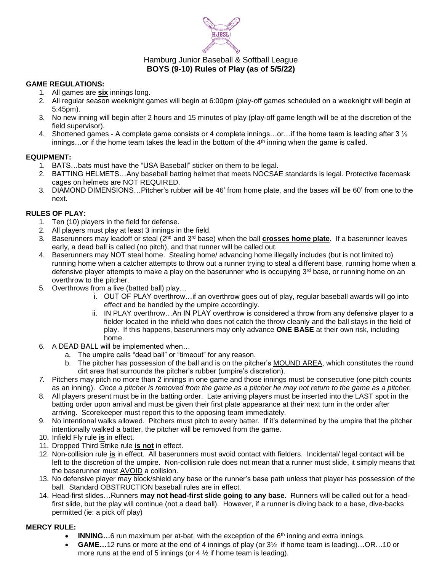

# Hamburg Junior Baseball & Softball League **BOYS (9-10) Rules of Play (as of 5/5/22)**

## **GAME REGULATIONS:**

- 1. All games are **six** innings long.
- 2. All regular season weeknight games will begin at 6:00pm (play-off games scheduled on a weeknight will begin at 5:45pm).
- 3. No new inning will begin after 2 hours and 15 minutes of play (play-off game length will be at the discretion of the field supervisor).
- 4. Shortened games A complete game consists or 4 complete innings...or...if the home team is leading after 3  $\frac{1}{2}$  $innings...$  or if the home team takes the lead in the bottom of the  $4<sup>th</sup>$  inning when the game is called.

## **EQUIPMENT:**

- 1. BATS…bats must have the "USA Baseball" sticker on them to be legal.
- 2. BATTING HELMETS…Any baseball batting helmet that meets NOCSAE standards is legal. Protective facemask cages on helmets are NOT REQUIRED.
- 3. DIAMOND DIMENSIONS…Pitcher's rubber will be 46' from home plate, and the bases will be 60' from one to the next.

## **RULES OF PLAY:**

- 1. Ten (10) players in the field for defense.
- 2. All players must play at least 3 innings in the field.
- 3. Baserunners may leadoff or steal (2nd and 3rd base) when the ball **crosses home plate**. If a baserunner leaves early, a dead ball is called (no pitch), and that runner will be called out.
- 4. Baserunners may NOT steal home. Stealing home/ advancing home illegally includes (but is not limited to) running home when a catcher attempts to throw out a runner trying to steal a different base, running home when a defensive player attempts to make a play on the baserunner who is occupying 3<sup>rd</sup> base, or running home on an overthrow to the pitcher.
- 5. Overthrows from a live (batted ball) play…
	- i. OUT OF PLAY overthrow…if an overthrow goes out of play, regular baseball awards will go into effect and be handled by the umpire accordingly.
	- ii. IN PLAY overthrow…An IN PLAY overthrow is considered a throw from any defensive player to a fielder located in the infield who does not catch the throw cleanly and the ball stays in the field of play. If this happens, baserunners may only advance **ONE BASE** at their own risk, including home.
- 6. A DEAD BALL will be implemented when…
	- a. The umpire calls "dead ball" or "timeout" for any reason.
	- b. The pitcher has possession of the ball and is on the pitcher's MOUND AREA, which constitutes the round dirt area that surrounds the pitcher's rubber (umpire's discretion).
- *7.* Pitchers may pitch no more than 2 innings in one game and those innings must be consecutive (one pitch counts as an inning). *Once a pitcher is removed from the game as a pitcher he may not return to the game as a pitcher.*
- 8. All players present must be in the batting order. Late arriving players must be inserted into the LAST spot in the batting order upon arrival and must be given their first plate appearance at their next turn in the order after arriving. Scorekeeper must report this to the opposing team immediately.
- 9. No intentional walks allowed. Pitchers must pitch to every batter. If it's determined by the umpire that the pitcher intentionally walked a batter, the pitcher will be removed from the game.
- 10. Infield Fly rule **is** in effect.
- 11. Dropped Third Strike rule **is not** in effect.
- 12. Non-collision rule **is** in effect. All baserunners must avoid contact with fielders. Incidental/ legal contact will be left to the discretion of the umpire. Non-collision rule does not mean that a runner must slide, it simply means that the baserunner must AVOID a collision.
- 13. No defensive player may block/shield any base or the runner's base path unless that player has possession of the ball. Standard OBSTRUCTION baseball rules are in effect.
- 14. Head-first slides…Runners **may not head-first slide going to any base.** Runners will be called out for a headfirst slide, but the play will continue (not a dead ball). However, if a runner is diving back to a base, dive-backs permitted (ie: a pick off play)

#### **MERCY RULE:**

- **INNING...6** run maximum per at-bat, with the exception of the 6<sup>th</sup> inning and extra innings.
- **GAME…**12 runs or more at the end of 4 innings of play (or 3½ if home team is leading)…OR…10 or more runs at the end of 5 innings (or  $4\frac{1}{2}$  if home team is leading).